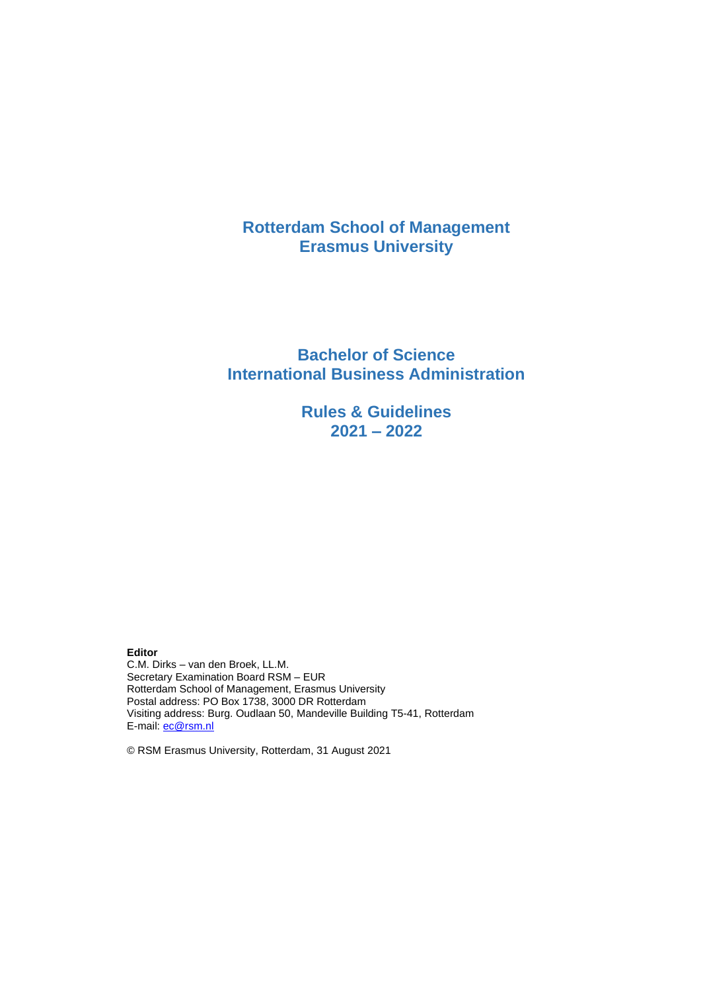# **Rotterdam School of Management Erasmus University**

# **Bachelor of Science International Business Administration**

**Rules & Guidelines 2021 – 2022**

**Editor**

C.M. Dirks – van den Broek, LL.M. Secretary Examination Board RSM – EUR Rotterdam School of Management, Erasmus University Postal address: PO Box 1738, 3000 DR Rotterdam Visiting address: Burg. Oudlaan 50, Mandeville Building T5-41, Rotterdam E-mail: [ec@rsm.nl](mailto:ec@rsm.nl)

© RSM Erasmus University, Rotterdam, 31 August 2021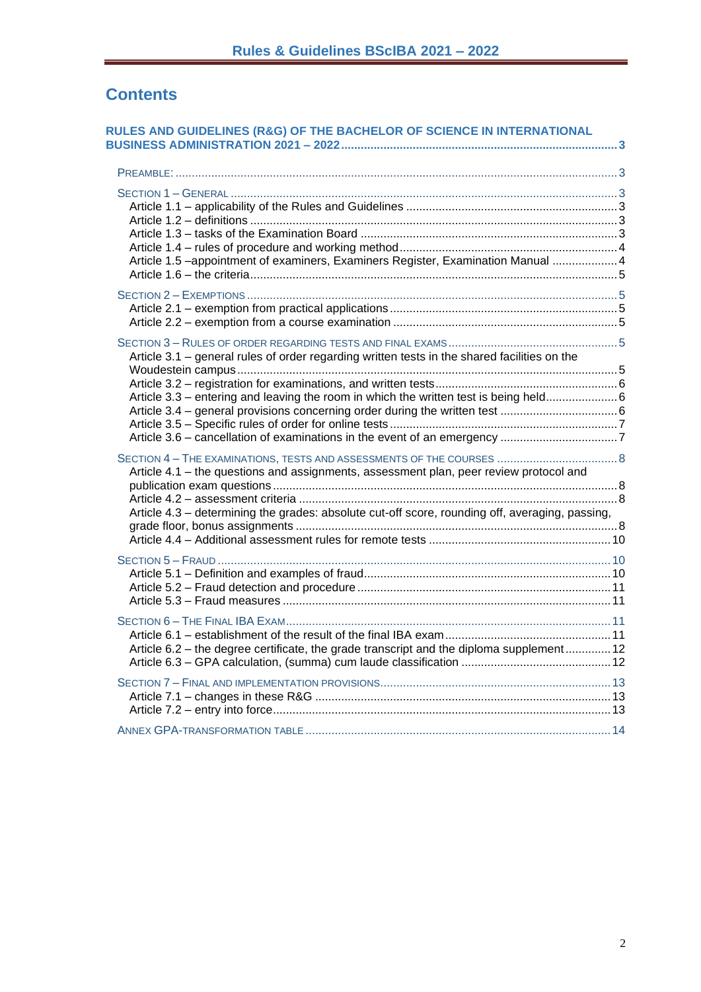# **Contents**

| RULES AND GUIDELINES (R&G) OF THE BACHELOR OF SCIENCE IN INTERNATIONAL                                                                                                                    |  |
|-------------------------------------------------------------------------------------------------------------------------------------------------------------------------------------------|--|
|                                                                                                                                                                                           |  |
| Article 1.5 -appointment of examiners, Examiners Register, Examination Manual 4                                                                                                           |  |
|                                                                                                                                                                                           |  |
| Article 3.1 - general rules of order regarding written tests in the shared facilities on the<br>Article 3.3 - entering and leaving the room in which the written test is being held 6     |  |
| Article 4.1 - the questions and assignments, assessment plan, peer review protocol and<br>Article 4.3 - determining the grades: absolute cut-off score, rounding off, averaging, passing, |  |
|                                                                                                                                                                                           |  |
| Article 6.2 - the degree certificate, the grade transcript and the diploma supplement 12                                                                                                  |  |
|                                                                                                                                                                                           |  |
|                                                                                                                                                                                           |  |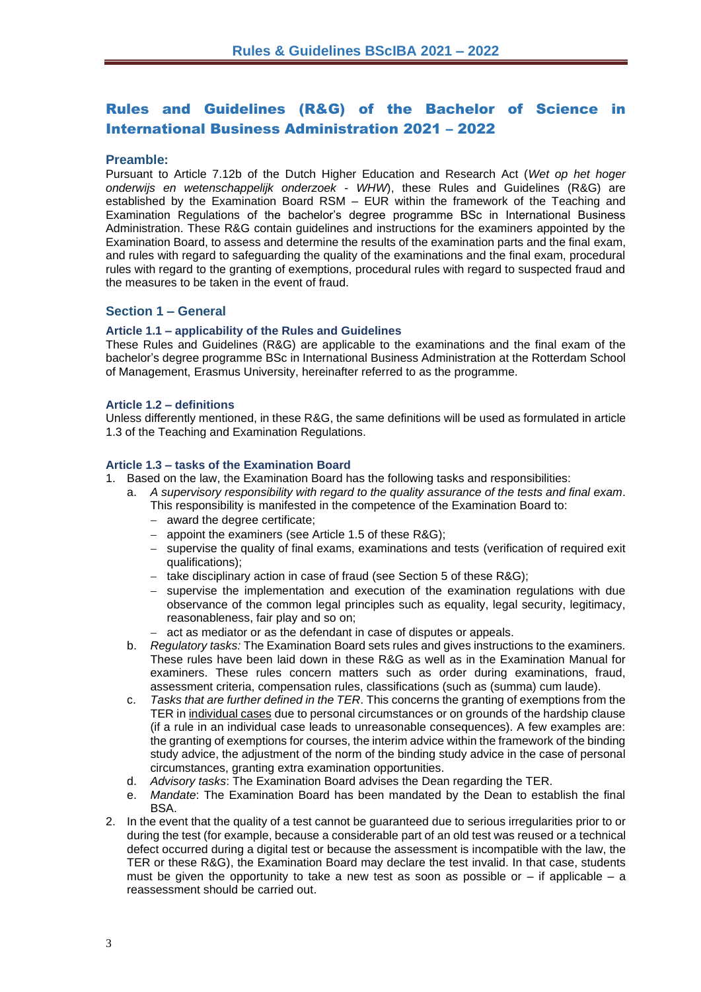# <span id="page-2-0"></span>Rules and Guidelines (R&G) of the Bachelor of Science in International Business Administration 2021 – 2022

#### <span id="page-2-1"></span>**Preamble:**

Pursuant to Article 7.12b of the Dutch Higher Education and Research Act (*Wet op het hoger onderwijs en wetenschappelijk onderzoek* - *WHW*), these Rules and Guidelines (R&G) are established by the Examination Board RSM – EUR within the framework of the Teaching and Examination Regulations of the bachelor's degree programme BSc in International Business Administration. These R&G contain guidelines and instructions for the examiners appointed by the Examination Board, to assess and determine the results of the examination parts and the final exam, and rules with regard to safeguarding the quality of the examinations and the final exam, procedural rules with regard to the granting of exemptions, procedural rules with regard to suspected fraud and the measures to be taken in the event of fraud.

#### <span id="page-2-2"></span>**Section 1 – General**

#### <span id="page-2-3"></span>**Article 1.1 – applicability of the Rules and Guidelines**

These Rules and Guidelines (R&G) are applicable to the examinations and the final exam of the bachelor's degree programme BSc in International Business Administration at the Rotterdam School of Management, Erasmus University, hereinafter referred to as the programme.

#### <span id="page-2-4"></span>**Article 1.2 – definitions**

Unless differently mentioned, in these R&G, the same definitions will be used as formulated in article 1.3 of the Teaching and Examination Regulations.

#### <span id="page-2-5"></span>**Article 1.3 – tasks of the Examination Board**

- 1. Based on the law, the Examination Board has the following tasks and responsibilities:
	- a. *A supervisory responsibility with regard to the quality assurance of the tests and final exam*. This responsibility is manifested in the competence of the Examination Board to:
		- − award the degree certificate;
		- − appoint the examiners (see Article 1.5 of these R&G);
		- − supervise the quality of final exams, examinations and tests (verification of required exit qualifications);
		- take disciplinary action in case of fraud (see Section 5 of these R&G);
		- − supervise the implementation and execution of the examination regulations with due observance of the common legal principles such as equality, legal security, legitimacy, reasonableness, fair play and so on;
		- − act as mediator or as the defendant in case of disputes or appeals.
	- b. *Regulatory tasks:* The Examination Board sets rules and gives instructions to the examiners. These rules have been laid down in these R&G as well as in the Examination Manual for examiners. These rules concern matters such as order during examinations, fraud, assessment criteria, compensation rules, classifications (such as (summa) cum laude).
	- c. *Tasks that are further defined in the TER*. This concerns the granting of exemptions from the TER in individual cases due to personal circumstances or on grounds of the hardship clause (if a rule in an individual case leads to unreasonable consequences). A few examples are: the granting of exemptions for courses, the interim advice within the framework of the binding study advice, the adjustment of the norm of the binding study advice in the case of personal circumstances, granting extra examination opportunities.
	- d. *Advisory tasks*: The Examination Board advises the Dean regarding the TER.
	- e. *Mandate*: The Examination Board has been mandated by the Dean to establish the final **BSA**
- 2. In the event that the quality of a test cannot be guaranteed due to serious irregularities prior to or during the test (for example, because a considerable part of an old test was reused or a technical defect occurred during a digital test or because the assessment is incompatible with the law, the TER or these R&G), the Examination Board may declare the test invalid. In that case, students must be given the opportunity to take a new test as soon as possible or  $-$  if applicable  $-$  a reassessment should be carried out.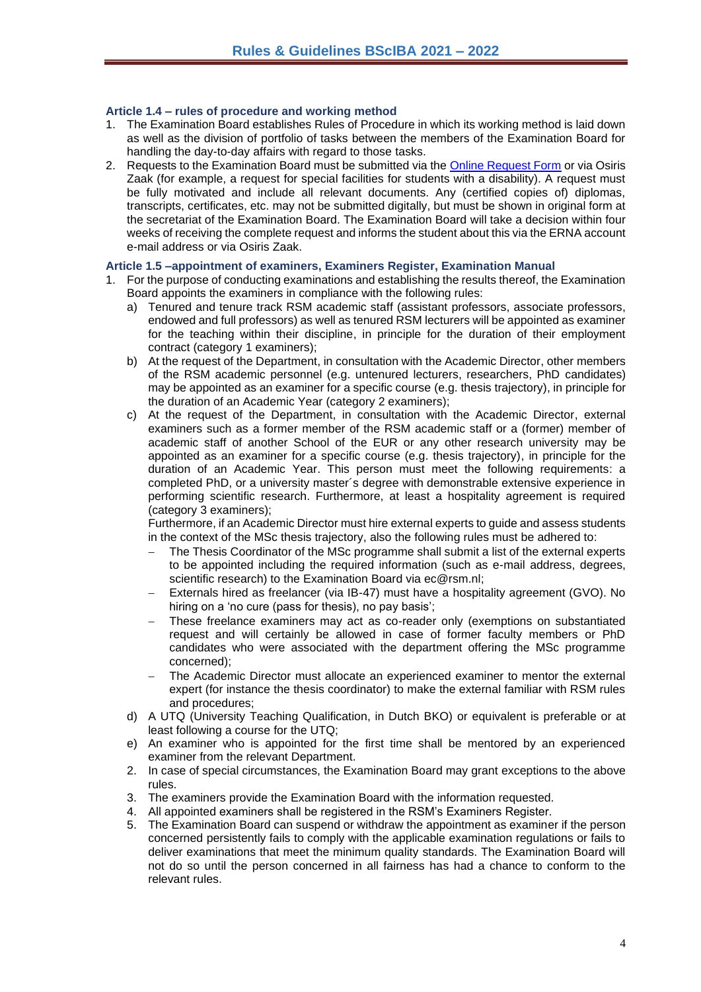#### <span id="page-3-0"></span>**Article 1.4 – rules of procedure and working method**

- 1. The Examination Board establishes Rules of Procedure in which its working method is laid down as well as the division of portfolio of tasks between the members of the Examination Board for handling the day-to-day affairs with regard to those tasks.
- 2. Requests to the Examination Board must be submitted via the [Online Request Form](https://request-eb.rsm.nl/) or via Osiris Zaak (for example, a request for special facilities for students with a disability). A request must be fully motivated and include all relevant documents. Any (certified copies of) diplomas, transcripts, certificates, etc. may not be submitted digitally, but must be shown in original form at the secretariat of the Examination Board. The Examination Board will take a decision within four weeks of receiving the complete request and informs the student about this via the ERNA account e-mail address or via Osiris Zaak.

#### <span id="page-3-1"></span>**Article 1.5 –appointment of examiners, Examiners Register, Examination Manual**

- 1. For the purpose of conducting examinations and establishing the results thereof, the Examination Board appoints the examiners in compliance with the following rules:
	- a) Tenured and tenure track RSM academic staff (assistant professors, associate professors, endowed and full professors) as well as tenured RSM lecturers will be appointed as examiner for the teaching within their discipline, in principle for the duration of their employment contract (category 1 examiners);
	- b) At the request of the Department, in consultation with the Academic Director, other members of the RSM academic personnel (e.g. untenured lecturers, researchers, PhD candidates) may be appointed as an examiner for a specific course (e.g. thesis trajectory), in principle for the duration of an Academic Year (category 2 examiners);
	- c) At the request of the Department, in consultation with the Academic Director, external examiners such as a former member of the RSM academic staff or a (former) member of academic staff of another School of the EUR or any other research university may be appointed as an examiner for a specific course (e.g. thesis trajectory), in principle for the duration of an Academic Year. This person must meet the following requirements: a completed PhD, or a university master´s degree with demonstrable extensive experience in performing scientific research. Furthermore, at least a hospitality agreement is required (category 3 examiners);

Furthermore, if an Academic Director must hire external experts to guide and assess students in the context of the MSc thesis trajectory, also the following rules must be adhered to:

- The Thesis Coordinator of the MSc programme shall submit a list of the external experts to be appointed including the required information (such as e-mail address, degrees, scientific research) to the Examination Board via ec@rsm.nl:
- − Externals hired as freelancer (via IB-47) must have a hospitality agreement (GVO). No hiring on a 'no cure (pass for thesis), no pay basis';
- These freelance examiners may act as co-reader only (exemptions on substantiated request and will certainly be allowed in case of former faculty members or PhD candidates who were associated with the department offering the MSc programme concerned);
- The Academic Director must allocate an experienced examiner to mentor the external expert (for instance the thesis coordinator) to make the external familiar with RSM rules and procedures;
- d) A UTQ (University Teaching Qualification, in Dutch BKO) or equivalent is preferable or at least following a course for the UTQ;
- e) An examiner who is appointed for the first time shall be mentored by an experienced examiner from the relevant Department.
- 2. In case of special circumstances, the Examination Board may grant exceptions to the above rules.
- 3. The examiners provide the Examination Board with the information requested.
- 4. All appointed examiners shall be registered in the RSM's Examiners Register.
- 5. The Examination Board can suspend or withdraw the appointment as examiner if the person concerned persistently fails to comply with the applicable examination regulations or fails to deliver examinations that meet the minimum quality standards. The Examination Board will not do so until the person concerned in all fairness has had a chance to conform to the relevant rules.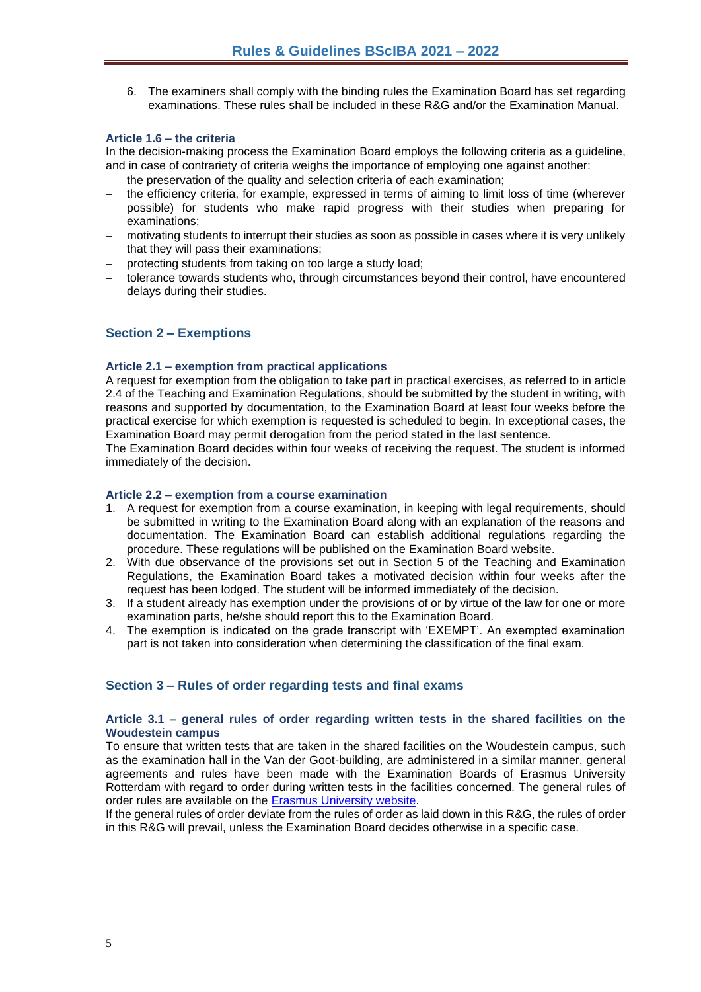6. The examiners shall comply with the binding rules the Examination Board has set regarding examinations. These rules shall be included in these R&G and/or the Examination Manual.

#### <span id="page-4-0"></span>**Article 1.6 – the criteria**

In the decision-making process the Examination Board employs the following criteria as a guideline, and in case of contrariety of criteria weighs the importance of employing one against another:

- the preservation of the quality and selection criteria of each examination:
- the efficiency criteria, for example, expressed in terms of aiming to limit loss of time (wherever possible) for students who make rapid progress with their studies when preparing for examinations;
- motivating students to interrupt their studies as soon as possible in cases where it is very unlikely that they will pass their examinations;
- protecting students from taking on too large a study load;
- − tolerance towards students who, through circumstances beyond their control, have encountered delays during their studies.

## <span id="page-4-1"></span>**Section 2 – Exemptions**

#### <span id="page-4-2"></span>**Article 2.1 – exemption from practical applications**

A request for exemption from the obligation to take part in practical exercises, as referred to in article 2.4 of the Teaching and Examination Regulations, should be submitted by the student in writing, with reasons and supported by documentation, to the Examination Board at least four weeks before the practical exercise for which exemption is requested is scheduled to begin. In exceptional cases, the Examination Board may permit derogation from the period stated in the last sentence.

The Examination Board decides within four weeks of receiving the request. The student is informed immediately of the decision.

#### <span id="page-4-3"></span>**Article 2.2 – exemption from a course examination**

- 1. A request for exemption from a course examination, in keeping with legal requirements, should be submitted in writing to the Examination Board along with an explanation of the reasons and documentation. The Examination Board can establish additional regulations regarding the procedure. These regulations will be published on the Examination Board website.
- 2. With due observance of the provisions set out in Section 5 of the Teaching and Examination Regulations, the Examination Board takes a motivated decision within four weeks after the request has been lodged. The student will be informed immediately of the decision.
- 3. If a student already has exemption under the provisions of or by virtue of the law for one or more examination parts, he/she should report this to the Examination Board.
- 4. The exemption is indicated on the grade transcript with 'EXEMPT'. An exempted examination part is not taken into consideration when determining the classification of the final exam.

#### <span id="page-4-4"></span>**Section 3 – Rules of order regarding tests and final exams**

#### <span id="page-4-5"></span>**Article 3.1 – general rules of order regarding written tests in the shared facilities on the Woudestein campus**

To ensure that written tests that are taken in the shared facilities on the Woudestein campus, such as the examination hall in the Van der Goot-building, are administered in a similar manner, general agreements and rules have been made with the Examination Boards of Erasmus University Rotterdam with regard to order during written tests in the facilities concerned. The general rules of order rules are available on the [Erasmus University website.](https://www.eur.nl/en/media/2021-09-examination-rules-eur-eng-2021-2022-definitive)

If the general rules of order deviate from the rules of order as laid down in this R&G, the rules of order in this R&G will prevail, unless the Examination Board decides otherwise in a specific case.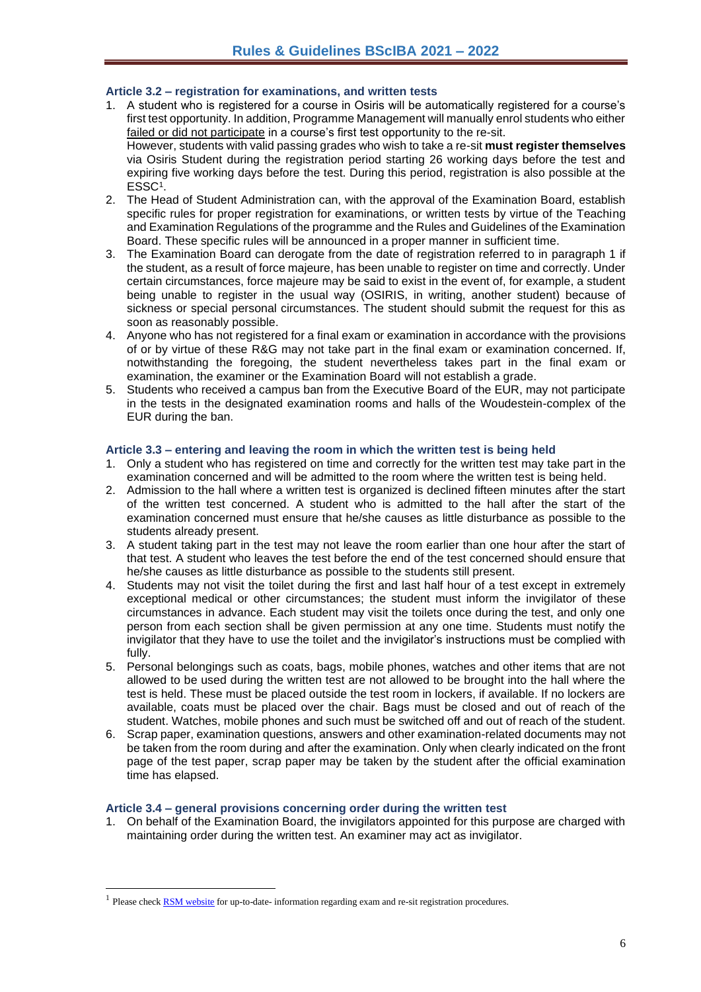#### <span id="page-5-0"></span>**Article 3.2 – registration for examinations, and written tests**

- 1. A student who is registered for a course in Osiris will be automatically registered for a course's first test opportunity. In addition, Programme Management will manually enrol students who either failed or did not participate in a course's first test opportunity to the re-sit. However, students with valid passing grades who wish to take a re-sit **must register themselves** via Osiris Student during the registration period starting 26 working days before the test and expiring five working days before the test. During this period, registration is also possible at the ESSC<sup>1</sup> .
- 2. The Head of Student Administration can, with the approval of the Examination Board, establish specific rules for proper registration for examinations, or written tests by virtue of the Teaching and Examination Regulations of the programme and the Rules and Guidelines of the Examination Board. These specific rules will be announced in a proper manner in sufficient time.
- 3. The Examination Board can derogate from the date of registration referred to in paragraph 1 if the student, as a result of force majeure, has been unable to register on time and correctly. Under certain circumstances, force majeure may be said to exist in the event of, for example, a student being unable to register in the usual way (OSIRIS, in writing, another student) because of sickness or special personal circumstances. The student should submit the request for this as soon as reasonably possible.
- 4. Anyone who has not registered for a final exam or examination in accordance with the provisions of or by virtue of these R&G may not take part in the final exam or examination concerned. If, notwithstanding the foregoing, the student nevertheless takes part in the final exam or examination, the examiner or the Examination Board will not establish a grade.
- 5. Students who received a campus ban from the Executive Board of the EUR, may not participate in the tests in the designated examination rooms and halls of the Woudestein-complex of the EUR during the ban.

#### <span id="page-5-1"></span>**Article 3.3 – entering and leaving the room in which the written test is being held**

- 1. Only a student who has registered on time and correctly for the written test may take part in the examination concerned and will be admitted to the room where the written test is being held.
- 2. Admission to the hall where a written test is organized is declined fifteen minutes after the start of the written test concerned. A student who is admitted to the hall after the start of the examination concerned must ensure that he/she causes as little disturbance as possible to the students already present.
- 3. A student taking part in the test may not leave the room earlier than one hour after the start of that test. A student who leaves the test before the end of the test concerned should ensure that he/she causes as little disturbance as possible to the students still present.
- 4. Students may not visit the toilet during the first and last half hour of a test except in extremely exceptional medical or other circumstances; the student must inform the invigilator of these circumstances in advance. Each student may visit the toilets once during the test, and only one person from each section shall be given permission at any one time. Students must notify the invigilator that they have to use the toilet and the invigilator's instructions must be complied with fully.
- 5. Personal belongings such as coats, bags, mobile phones, watches and other items that are not allowed to be used during the written test are not allowed to be brought into the hall where the test is held. These must be placed outside the test room in lockers, if available. If no lockers are available, coats must be placed over the chair. Bags must be closed and out of reach of the student. Watches, mobile phones and such must be switched off and out of reach of the student.
- 6. Scrap paper, examination questions, answers and other examination-related documents may not be taken from the room during and after the examination. Only when clearly indicated on the front page of the test paper, scrap paper may be taken by the student after the official examination time has elapsed.

#### <span id="page-5-2"></span>**Article 3.4 – general provisions concerning order during the written test**

1. On behalf of the Examination Board, the invigilators appointed for this purpose are charged with maintaining order during the written test. An examiner may act as invigilator.

<sup>&</sup>lt;sup>1</sup> Please check **RSM** website for up-to-date- information regarding exam and re-sit registration procedures.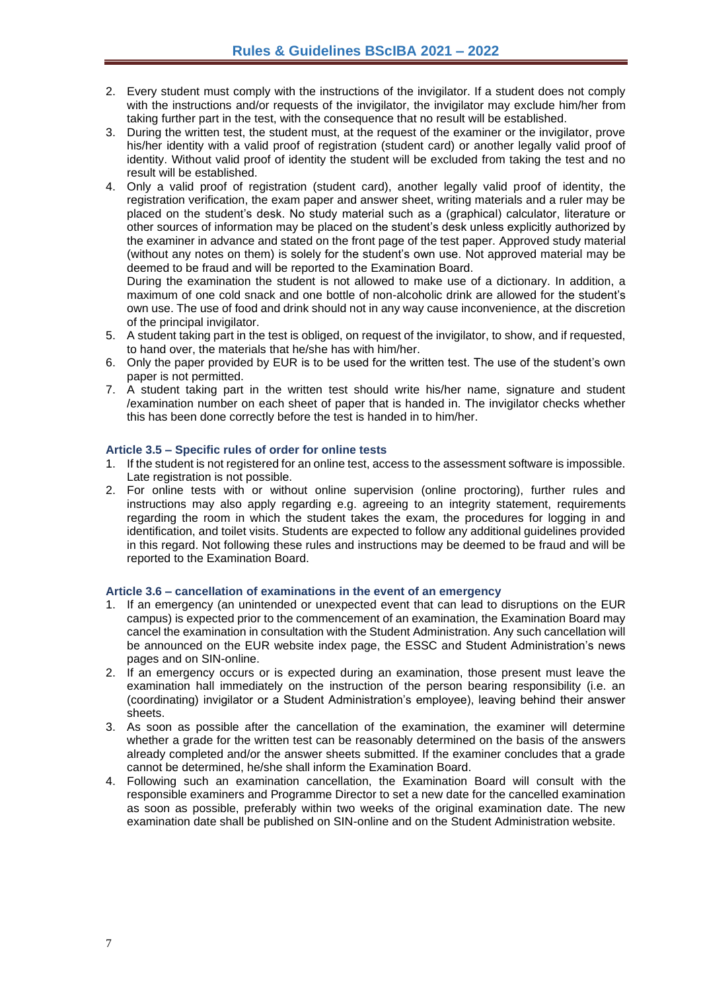- 2. Every student must comply with the instructions of the invigilator. If a student does not comply with the instructions and/or requests of the invigilator, the invigilator may exclude him/her from taking further part in the test, with the consequence that no result will be established.
- 3. During the written test, the student must, at the request of the examiner or the invigilator, prove his/her identity with a valid proof of registration (student card) or another legally valid proof of identity. Without valid proof of identity the student will be excluded from taking the test and no result will be established.
- 4. Only a valid proof of registration (student card), another legally valid proof of identity, the registration verification, the exam paper and answer sheet, writing materials and a ruler may be placed on the student's desk. No study material such as a (graphical) calculator, literature or other sources of information may be placed on the student's desk unless explicitly authorized by the examiner in advance and stated on the front page of the test paper. Approved study material (without any notes on them) is solely for the student's own use. Not approved material may be deemed to be fraud and will be reported to the Examination Board.

During the examination the student is not allowed to make use of a dictionary. In addition, a maximum of one cold snack and one bottle of non-alcoholic drink are allowed for the student's own use. The use of food and drink should not in any way cause inconvenience, at the discretion of the principal invigilator.

- 5. A student taking part in the test is obliged, on request of the invigilator, to show, and if requested, to hand over, the materials that he/she has with him/her.
- 6. Only the paper provided by EUR is to be used for the written test. The use of the student's own paper is not permitted.
- 7. A student taking part in the written test should write his/her name, signature and student /examination number on each sheet of paper that is handed in. The invigilator checks whether this has been done correctly before the test is handed in to him/her.

#### <span id="page-6-0"></span>**Article 3.5 – Specific rules of order for online tests**

- 1. If the student is not registered for an online test, access to the assessment software is impossible. Late registration is not possible.
- 2. For online tests with or without online supervision (online proctoring), further rules and instructions may also apply regarding e.g. agreeing to an integrity statement, requirements regarding the room in which the student takes the exam, the procedures for logging in and identification, and toilet visits. Students are expected to follow any additional guidelines provided in this regard. Not following these rules and instructions may be deemed to be fraud and will be reported to the Examination Board.

#### <span id="page-6-1"></span>**Article 3.6 – cancellation of examinations in the event of an emergency**

- 1. If an emergency (an unintended or unexpected event that can lead to disruptions on the EUR campus) is expected prior to the commencement of an examination, the Examination Board may cancel the examination in consultation with the Student Administration. Any such cancellation will be announced on the EUR website index page, the ESSC and Student Administration's news pages and on SIN-online.
- 2. If an emergency occurs or is expected during an examination, those present must leave the examination hall immediately on the instruction of the person bearing responsibility (i.e. an (coordinating) invigilator or a Student Administration's employee), leaving behind their answer sheets.
- 3. As soon as possible after the cancellation of the examination, the examiner will determine whether a grade for the written test can be reasonably determined on the basis of the answers already completed and/or the answer sheets submitted. If the examiner concludes that a grade cannot be determined, he/she shall inform the Examination Board.
- 4. Following such an examination cancellation, the Examination Board will consult with the responsible examiners and Programme Director to set a new date for the cancelled examination as soon as possible, preferably within two weeks of the original examination date. The new examination date shall be published on SIN-online and on the Student Administration website.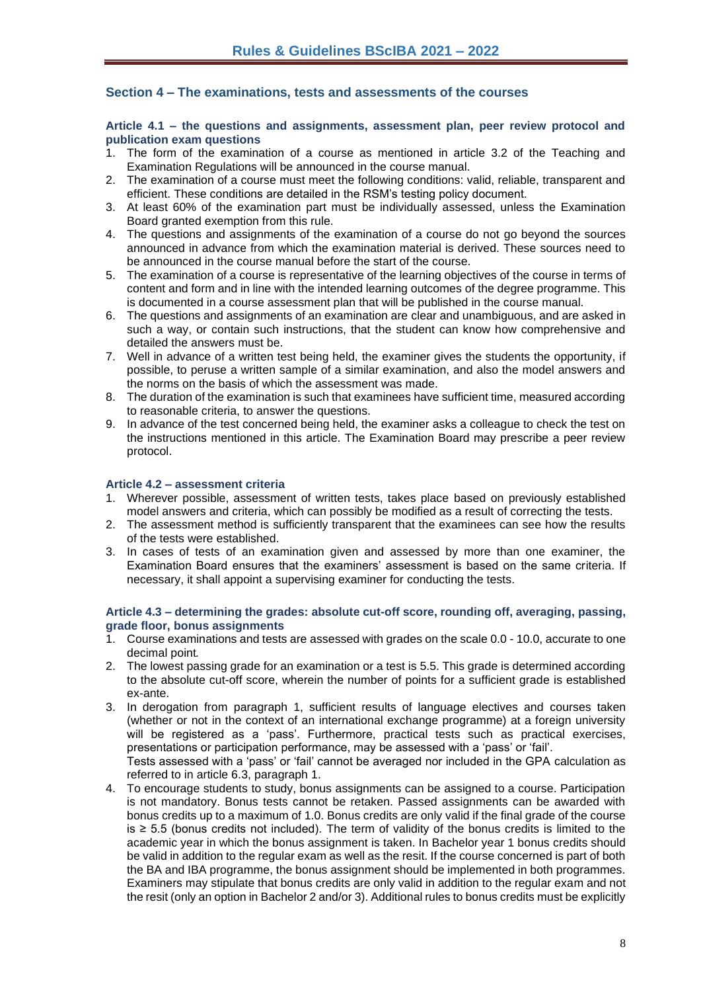#### <span id="page-7-0"></span>**Section 4 – The examinations, tests and assessments of the courses**

<span id="page-7-1"></span>**Article 4.1 – the questions and assignments, assessment plan, peer review protocol and publication exam questions** 

- 1. The form of the examination of a course as mentioned in article 3.2 of the Teaching and Examination Regulations will be announced in the course manual.
- 2. The examination of a course must meet the following conditions: valid, reliable, transparent and efficient. These conditions are detailed in the RSM's testing policy document.
- 3. At least 60% of the examination part must be individually assessed, unless the Examination Board granted exemption from this rule.
- 4. The questions and assignments of the examination of a course do not go beyond the sources announced in advance from which the examination material is derived. These sources need to be announced in the course manual before the start of the course.
- 5. The examination of a course is representative of the learning objectives of the course in terms of content and form and in line with the intended learning outcomes of the degree programme. This is documented in a course assessment plan that will be published in the course manual.
- 6. The questions and assignments of an examination are clear and unambiguous, and are asked in such a way, or contain such instructions, that the student can know how comprehensive and detailed the answers must be.
- 7. Well in advance of a written test being held, the examiner gives the students the opportunity, if possible, to peruse a written sample of a similar examination, and also the model answers and the norms on the basis of which the assessment was made.
- 8. The duration of the examination is such that examinees have sufficient time, measured according to reasonable criteria, to answer the questions.
- 9. In advance of the test concerned being held, the examiner asks a colleague to check the test on the instructions mentioned in this article. The Examination Board may prescribe a peer review protocol.

#### <span id="page-7-2"></span>**Article 4.2 – assessment criteria**

- 1. Wherever possible, assessment of written tests, takes place based on previously established model answers and criteria, which can possibly be modified as a result of correcting the tests.
- 2. The assessment method is sufficiently transparent that the examinees can see how the results of the tests were established.
- 3. In cases of tests of an examination given and assessed by more than one examiner, the Examination Board ensures that the examiners' assessment is based on the same criteria. If necessary, it shall appoint a supervising examiner for conducting the tests.

#### <span id="page-7-3"></span>**Article 4.3 – determining the grades: absolute cut-off score, rounding off, averaging, passing, grade floor, bonus assignments**

- 1. Course examinations and tests are assessed with grades on the scale 0.0 10.0, accurate to one decimal point*.*
- 2. The lowest passing grade for an examination or a test is 5.5. This grade is determined according to the absolute cut-off score, wherein the number of points for a sufficient grade is established ex-ante.
- 3. In derogation from paragraph 1, sufficient results of language electives and courses taken (whether or not in the context of an international exchange programme) at a foreign university will be registered as a 'pass'. Furthermore, practical tests such as practical exercises, presentations or participation performance, may be assessed with a 'pass' or 'fail'. Tests assessed with a 'pass' or 'fail' cannot be averaged nor included in the GPA calculation as referred to in article 6.3, paragraph 1.
- 4. To encourage students to study, bonus assignments can be assigned to a course. Participation is not mandatory. Bonus tests cannot be retaken. Passed assignments can be awarded with bonus credits up to a maximum of 1.0. Bonus credits are only valid if the final grade of the course is ≥ 5.5 (bonus credits not included). The term of validity of the bonus credits is limited to the academic year in which the bonus assignment is taken. In Bachelor year 1 bonus credits should be valid in addition to the regular exam as well as the resit. If the course concerned is part of both the BA and IBA programme, the bonus assignment should be implemented in both programmes. Examiners may stipulate that bonus credits are only valid in addition to the regular exam and not the resit (only an option in Bachelor 2 and/or 3). Additional rules to bonus credits must be explicitly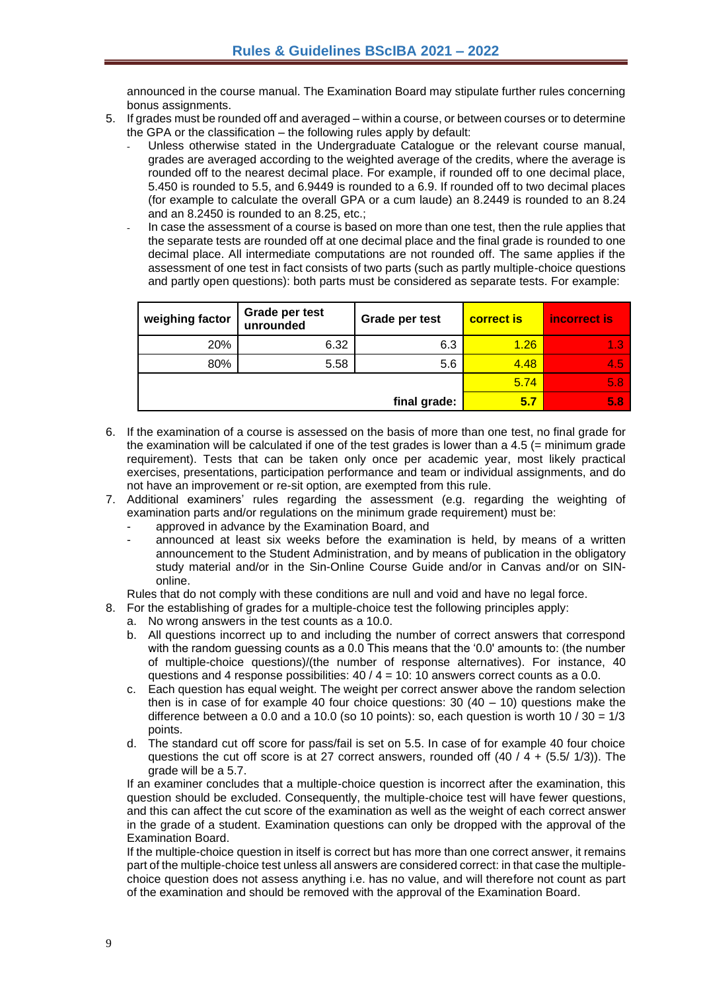announced in the course manual. The Examination Board may stipulate further rules concerning bonus assignments.

- 5. If grades must be rounded off and averaged within a course, or between courses or to determine the GPA or the classification – the following rules apply by default:
	- Unless otherwise stated in the Undergraduate Catalogue or the relevant course manual, grades are averaged according to the weighted average of the credits, where the average is rounded off to the nearest decimal place. For example, if rounded off to one decimal place, 5.450 is rounded to 5.5, and 6.9449 is rounded to a 6.9. If rounded off to two decimal places (for example to calculate the overall GPA or a cum laude) an 8.2449 is rounded to an 8.24 and an 8.2450 is rounded to an 8.25, etc.;
	- In case the assessment of a course is based on more than one test, then the rule applies that the separate tests are rounded off at one decimal place and the final grade is rounded to one decimal place. All intermediate computations are not rounded off. The same applies if the assessment of one test in fact consists of two parts (such as partly multiple-choice questions and partly open questions): both parts must be considered as separate tests. For example:

| weighing factor | Grade per test<br>unrounded | Grade per test | <b>correct is</b> | incorrect is |
|-----------------|-----------------------------|----------------|-------------------|--------------|
| 20%             | 6.32                        | 6.3            | 1.26              | 1.3          |
| 80%             | 5.58                        | 5.6            | 4.48              | 4.5          |
|                 |                             |                | 5.74              | 5.8          |
| final grade:    |                             |                | 5.7               | 5.8          |

- 6. If the examination of a course is assessed on the basis of more than one test, no final grade for the examination will be calculated if one of the test grades is lower than a  $4.5$  (= minimum grade requirement). Tests that can be taken only once per academic year, most likely practical exercises, presentations, participation performance and team or individual assignments, and do not have an improvement or re-sit option, are exempted from this rule.
- 7. Additional examiners' rules regarding the assessment (e.g. regarding the weighting of examination parts and/or regulations on the minimum grade requirement) must be:
	- approved in advance by the Examination Board, and
	- announced at least six weeks before the examination is held, by means of a written announcement to the Student Administration, and by means of publication in the obligatory study material and/or in the Sin-Online Course Guide and/or in Canvas and/or on SINonline.

Rules that do not comply with these conditions are null and void and have no legal force.

- 8. For the establishing of grades for a multiple-choice test the following principles apply:
	- a. No wrong answers in the test counts as a 10.0.
	- b. All questions incorrect up to and including the number of correct answers that correspond with the random guessing counts as a 0.0 This means that the '0.0' amounts to: (the number of multiple-choice questions)/(the number of response alternatives). For instance, 40 questions and 4 response possibilities:  $40 / 4 = 10$ : 10 answers correct counts as a 0.0.
	- c. Each question has equal weight. The weight per correct answer above the random selection then is in case of for example 40 four choice questions:  $30(40 - 10)$  questions make the difference between a 0.0 and a 10.0 (so 10 points); so, each question is worth 10  $/$  30 = 1/3 points.
	- d. The standard cut off score for pass/fail is set on 5.5. In case of for example 40 four choice questions the cut off score is at 27 correct answers, rounded off  $(40 / 4 + (5.5 / 1/3))$ . The grade will be a 5.7.

If an examiner concludes that a multiple-choice question is incorrect after the examination, this question should be excluded. Consequently, the multiple-choice test will have fewer questions, and this can affect the cut score of the examination as well as the weight of each correct answer in the grade of a student. Examination questions can only be dropped with the approval of the Examination Board.

If the multiple-choice question in itself is correct but has more than one correct answer, it remains part of the multiple-choice test unless all answers are considered correct: in that case the multiplechoice question does not assess anything i.e. has no value, and will therefore not count as part of the examination and should be removed with the approval of the Examination Board.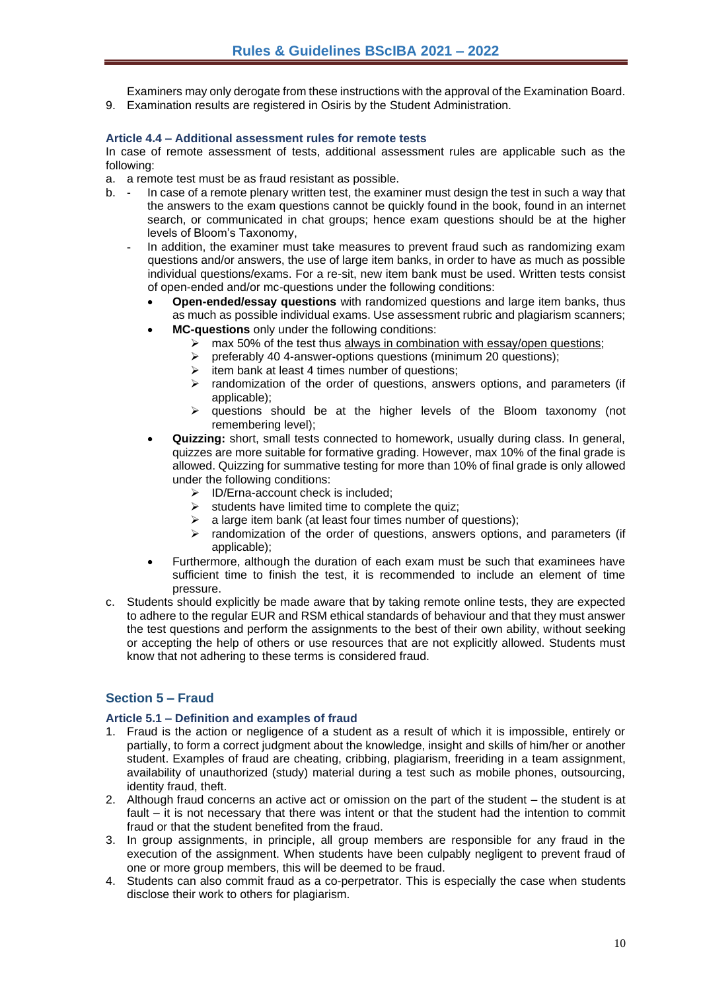Examiners may only derogate from these instructions with the approval of the Examination Board. 9. Examination results are registered in Osiris by the Student Administration.

#### <span id="page-9-0"></span>**Article 4.4 – Additional assessment rules for remote tests**

In case of remote assessment of tests, additional assessment rules are applicable such as the following:

a. a remote test must be as fraud resistant as possible.

- b. In case of a remote plenary written test, the examiner must design the test in such a way that the answers to the exam questions cannot be quickly found in the book, found in an internet search, or communicated in chat groups; hence exam questions should be at the higher levels of Bloom's Taxonomy,
	- In addition, the examiner must take measures to prevent fraud such as randomizing exam questions and/or answers, the use of large item banks, in order to have as much as possible individual questions/exams. For a re-sit, new item bank must be used. Written tests consist of open-ended and/or mc-questions under the following conditions:
		- **Open-ended/essay questions** with randomized questions and large item banks, thus as much as possible individual exams. Use assessment rubric and plagiarism scanners;
		- **MC-questions** only under the following conditions:
			- ightharpoonup max 50% of the test thus always in combination with essay/open questions;<br>  $\geq$  oreferably 40 4-answer-options questions (minimum 20 questions):
			- ➢ preferably 40 4-answer-options questions (minimum 20 questions);
			- $\triangleright$  item bank at least 4 times number of questions:
			- $\triangleright$  randomization of the order of questions, answers options, and parameters (if applicable);
			- ➢ questions should be at the higher levels of the Bloom taxonomy (not remembering level);
		- **Quizzing:** short, small tests connected to homework, usually during class. In general, quizzes are more suitable for formative grading. However, max 10% of the final grade is allowed. Quizzing for summative testing for more than 10% of final grade is only allowed under the following conditions:
			- ➢ ID/Erna-account check is included;
			- $\triangleright$  students have limited time to complete the quiz:
			- $\geq$  a large item bank (at least four times number of questions):
			- ➢ randomization of the order of questions, answers options, and parameters (if applicable);
		- Furthermore, although the duration of each exam must be such that examinees have sufficient time to finish the test, it is recommended to include an element of time pressure.
- c. Students should explicitly be made aware that by taking remote online tests, they are expected to adhere to the regular EUR and RSM ethical standards of behaviour and that they must answer the test questions and perform the assignments to the best of their own ability, without seeking or accepting the help of others or use resources that are not explicitly allowed. Students must know that not adhering to these terms is considered fraud.

# <span id="page-9-1"></span>**Section 5 – Fraud**

#### <span id="page-9-2"></span>**Article 5.1 – Definition and examples of fraud**

- 1. Fraud is the action or negligence of a student as a result of which it is impossible, entirely or partially, to form a correct judgment about the knowledge, insight and skills of him/her or another student. Examples of fraud are cheating, cribbing, plagiarism, freeriding in a team assignment, availability of unauthorized (study) material during a test such as mobile phones, outsourcing, identity fraud, theft.
- 2. Although fraud concerns an active act or omission on the part of the student the student is at fault – it is not necessary that there was intent or that the student had the intention to commit fraud or that the student benefited from the fraud.
- 3. In group assignments, in principle, all group members are responsible for any fraud in the execution of the assignment. When students have been culpably negligent to prevent fraud of one or more group members, this will be deemed to be fraud.
- 4. Students can also commit fraud as a co-perpetrator. This is especially the case when students disclose their work to others for plagiarism.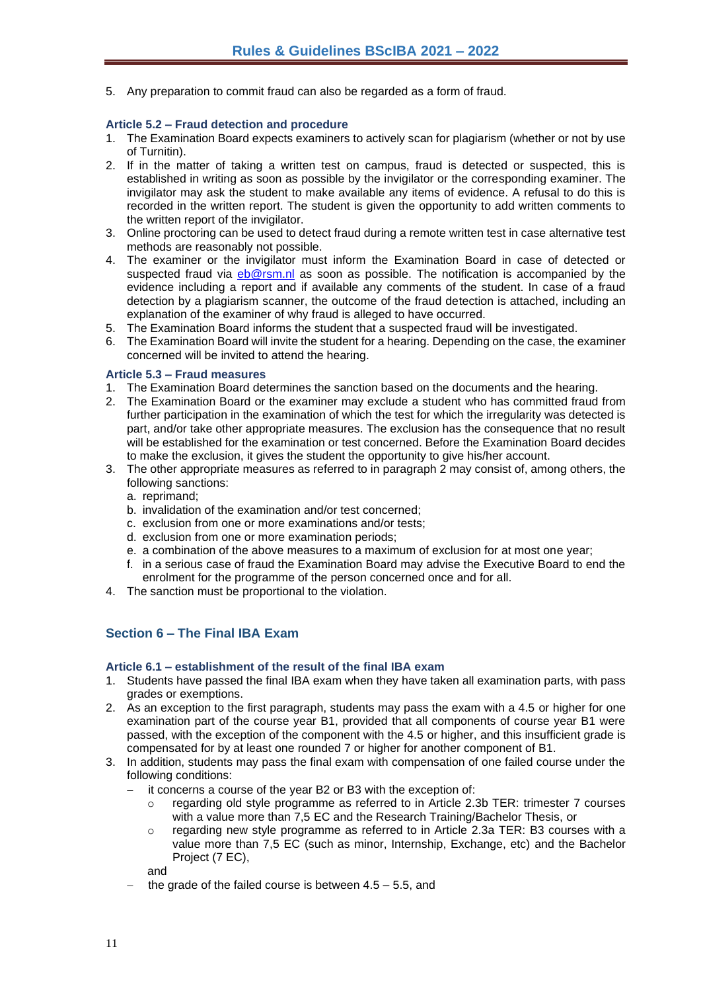5. Any preparation to commit fraud can also be regarded as a form of fraud.

#### <span id="page-10-0"></span>**Article 5.2 – Fraud detection and procedure**

- 1. The Examination Board expects examiners to actively scan for plagiarism (whether or not by use of Turnitin).
- 2. If in the matter of taking a written test on campus, fraud is detected or suspected, this is established in writing as soon as possible by the invigilator or the corresponding examiner. The invigilator may ask the student to make available any items of evidence. A refusal to do this is recorded in the written report. The student is given the opportunity to add written comments to the written report of the invigilator.
- 3. Online proctoring can be used to detect fraud during a remote written test in case alternative test methods are reasonably not possible.
- 4. The examiner or the invigilator must inform the Examination Board in case of detected or suspected fraud via [eb@rsm.nl](mailto:eb@rsm.nl) as soon as possible. The notification is accompanied by the evidence including a report and if available any comments of the student. In case of a fraud detection by a plagiarism scanner, the outcome of the fraud detection is attached, including an explanation of the examiner of why fraud is alleged to have occurred.
- 5. The Examination Board informs the student that a suspected fraud will be investigated.
- 6. The Examination Board will invite the student for a hearing. Depending on the case, the examiner concerned will be invited to attend the hearing.

#### <span id="page-10-1"></span>**Article 5.3 – Fraud measures**

- 1. The Examination Board determines the sanction based on the documents and the hearing.
- 2. The Examination Board or the examiner may exclude a student who has committed fraud from further participation in the examination of which the test for which the irregularity was detected is part, and/or take other appropriate measures. The exclusion has the consequence that no result will be established for the examination or test concerned. Before the Examination Board decides to make the exclusion, it gives the student the opportunity to give his/her account.
- 3. The other appropriate measures as referred to in paragraph 2 may consist of, among others, the following sanctions:
	- a. reprimand;
	- b. invalidation of the examination and/or test concerned;
	- c. exclusion from one or more examinations and/or tests;
	- d. exclusion from one or more examination periods;
	- e. a combination of the above measures to a maximum of exclusion for at most one year;
	- f. in a serious case of fraud the Examination Board may advise the Executive Board to end the enrolment for the programme of the person concerned once and for all.
- 4. The sanction must be proportional to the violation.

# <span id="page-10-2"></span>**Section 6 – The Final IBA Exam**

#### <span id="page-10-3"></span>**Article 6.1 – establishment of the result of the final IBA exam**

- 1. Students have passed the final IBA exam when they have taken all examination parts, with pass grades or exemptions.
- 2. As an exception to the first paragraph, students may pass the exam with a 4.5 or higher for one examination part of the course year B1, provided that all components of course year B1 were passed, with the exception of the component with the 4.5 or higher, and this insufficient grade is compensated for by at least one rounded 7 or higher for another component of B1.
- 3. In addition, students may pass the final exam with compensation of one failed course under the following conditions:
	- it concerns a course of the year B2 or B3 with the exception of:
		- regarding old style programme as referred to in Article 2.3b TER: trimester 7 courses with a value more than 7,5 EC and the Research Training/Bachelor Thesis, or
		- $\circ$  regarding new style programme as referred to in Article 2.3a TER: B3 courses with a value more than 7,5 EC (such as minor, Internship, Exchange, etc) and the Bachelor Project (7 EC),

and

the grade of the failed course is between  $4.5 - 5.5$ , and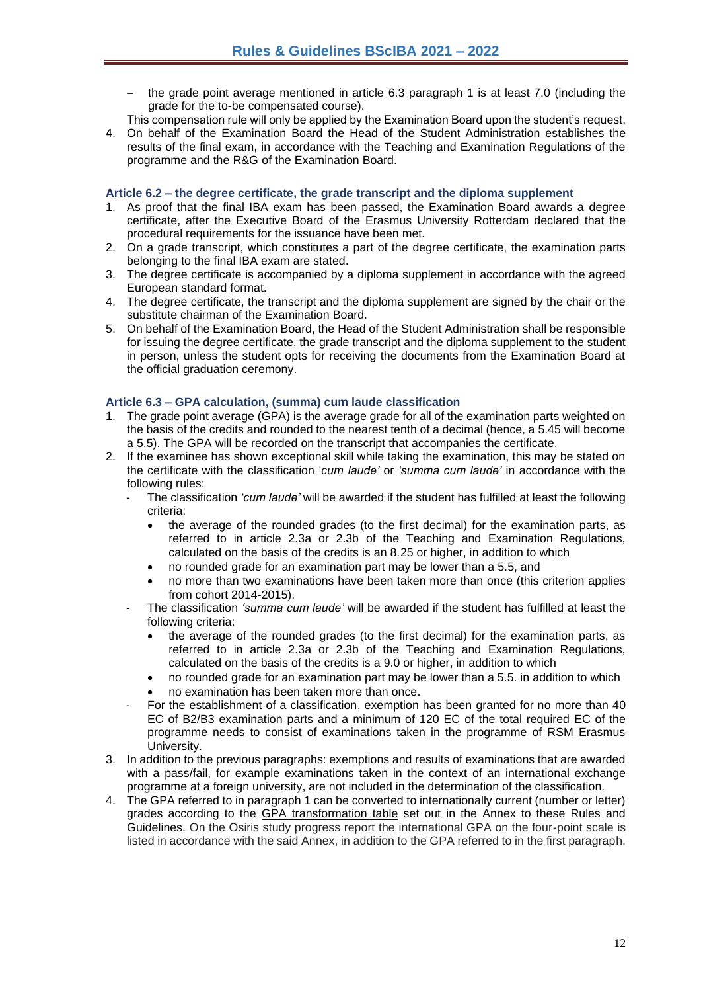- the grade point average mentioned in article 6.3 paragraph 1 is at least 7.0 (including the grade for the to-be compensated course).
- This compensation rule will only be applied by the Examination Board upon the student's request.
- 4. On behalf of the Examination Board the Head of the Student Administration establishes the results of the final exam, in accordance with the Teaching and Examination Regulations of the programme and the R&G of the Examination Board.

#### <span id="page-11-0"></span>**Article 6.2 – the degree certificate, the grade transcript and the diploma supplement**

- 1. As proof that the final IBA exam has been passed, the Examination Board awards a degree certificate, after the Executive Board of the Erasmus University Rotterdam declared that the procedural requirements for the issuance have been met.
- 2. On a grade transcript, which constitutes a part of the degree certificate, the examination parts belonging to the final IBA exam are stated.
- 3. The degree certificate is accompanied by a diploma supplement in accordance with the agreed European standard format.
- 4. The degree certificate, the transcript and the diploma supplement are signed by the chair or the substitute chairman of the Examination Board.
- 5. On behalf of the Examination Board, the Head of the Student Administration shall be responsible for issuing the degree certificate, the grade transcript and the diploma supplement to the student in person, unless the student opts for receiving the documents from the Examination Board at the official graduation ceremony.

#### <span id="page-11-1"></span>**Article 6.3 – GPA calculation, (summa) cum laude classification**

- 1. The grade point average (GPA) is the average grade for all of the examination parts weighted on the basis of the credits and rounded to the nearest tenth of a decimal (hence, a 5.45 will become a 5.5). The GPA will be recorded on the transcript that accompanies the certificate.
- 2. If the examinee has shown exceptional skill while taking the examination, this may be stated on the certificate with the classification '*cum laude'* or *'summa cum laude'* in accordance with the following rules:
	- The classification *'cum laude'* will be awarded if the student has fulfilled at least the following criteria:
		- the average of the rounded grades (to the first decimal) for the examination parts, as referred to in article 2.3a or 2.3b of the Teaching and Examination Regulations, calculated on the basis of the credits is an 8.25 or higher, in addition to which
		- no rounded grade for an examination part may be lower than a 5.5, and
		- no more than two examinations have been taken more than once (this criterion applies from cohort 2014-2015).
	- The classification *'summa cum laude'* will be awarded if the student has fulfilled at least the following criteria:
		- the average of the rounded grades (to the first decimal) for the examination parts, as referred to in article 2.3a or 2.3b of the Teaching and Examination Regulations, calculated on the basis of the credits is a 9.0 or higher, in addition to which
		- no rounded grade for an examination part may be lower than a 5.5. in addition to which
		- no examination has been taken more than once.
	- For the establishment of a classification, exemption has been granted for no more than 40 EC of B2/B3 examination parts and a minimum of 120 EC of the total required EC of the programme needs to consist of examinations taken in the programme of RSM Erasmus University.
- 3. In addition to the previous paragraphs: exemptions and results of examinations that are awarded with a pass/fail, for example examinations taken in the context of an international exchange programme at a foreign university, are not included in the determination of the classification.
- 4. The GPA referred to in paragraph 1 can be converted to internationally current (number or letter) grades according to the GPA transformation table set out in the Annex to these Rules and Guidelines. On the Osiris study progress report the international GPA on the four-point scale is listed in accordance with the said Annex, in addition to the GPA referred to in the first paragraph.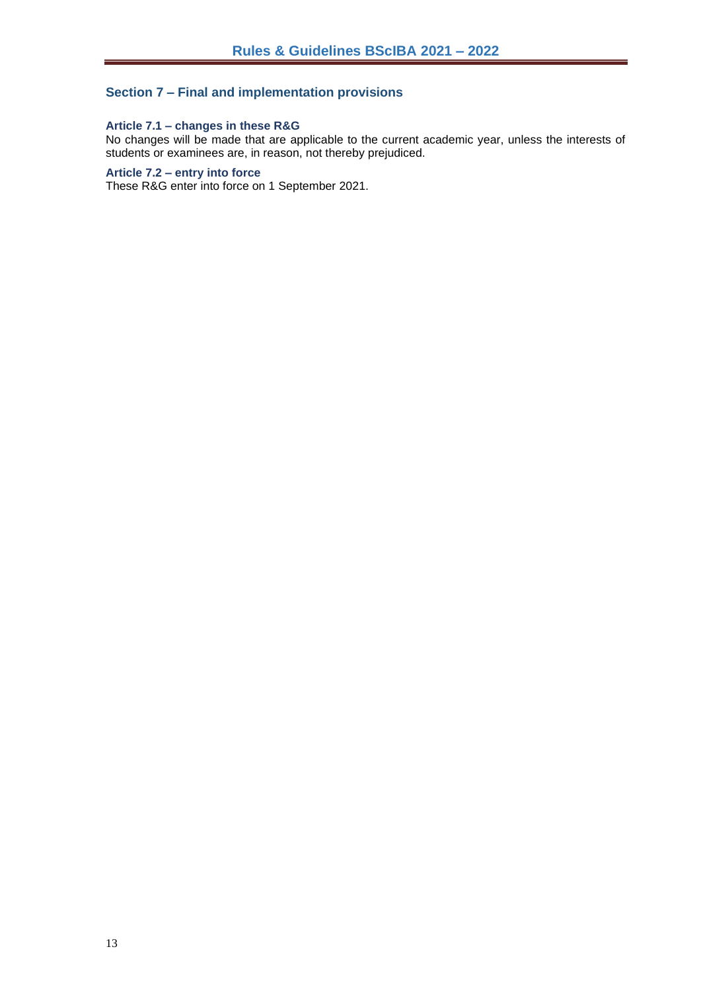## <span id="page-12-0"></span>**Section 7 – Final and implementation provisions**

#### <span id="page-12-1"></span>**Article 7.1 – changes in these R&G**

No changes will be made that are applicable to the current academic year, unless the interests of students or examinees are, in reason, not thereby prejudiced.

## <span id="page-12-2"></span>**Article 7.2 – entry into force**

These R&G enter into force on 1 September 2021.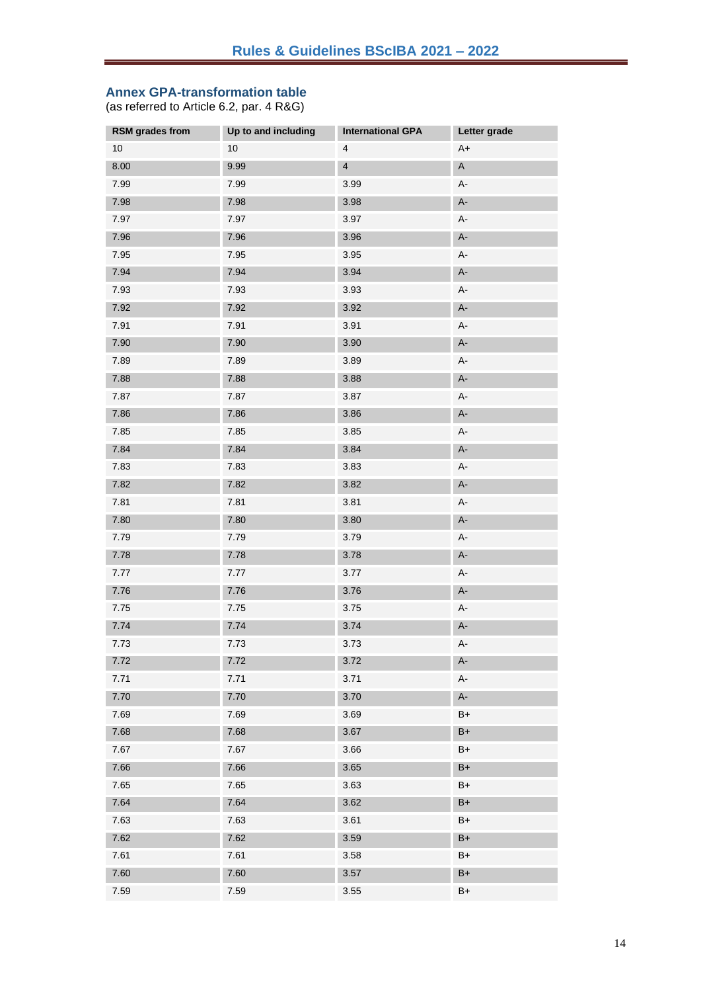#### <span id="page-13-0"></span>**Annex GPA-transformation table**

(as referred to Article 6.2, par. 4 R&G)

| RSM grades from | Up to and including | <b>International GPA</b> | Letter grade |
|-----------------|---------------------|--------------------------|--------------|
| 10              | 10                  | 4                        | $A+$         |
| 8.00            | 9.99                | $\overline{4}$           | $\mathsf A$  |
| 7.99            | 7.99                | 3.99                     | А-           |
| 7.98            | 7.98                | 3.98                     | $A-$         |
| 7.97            | 7.97                | 3.97                     | $A-$         |
| 7.96            | 7.96                | 3.96                     | $A-$         |
| 7.95            | 7.95                | 3.95                     | А-           |
| 7.94            | 7.94                | 3.94                     | $A-$         |
| 7.93            | 7.93                | 3.93                     | $A-$         |
| 7.92            | 7.92                | 3.92                     | $A-$         |
| 7.91            | 7.91                | 3.91                     | А-           |
| 7.90            | 7.90                | 3.90                     | $A-$         |
| 7.89            | 7.89                | 3.89                     | $A-$         |
| 7.88            | 7.88                | 3.88                     | $A-$         |
| 7.87            | 7.87                | 3.87                     | A-           |
| 7.86            | 7.86                | 3.86                     | $A-$         |
| 7.85            | 7.85                | 3.85                     | $A-$         |
| 7.84            | 7.84                | 3.84                     | A-           |
| 7.83            | 7.83                | 3.83                     | А-           |
| 7.82            | 7.82                | 3.82                     | $A-$         |
| 7.81            | 7.81                | 3.81                     | $A-$         |
| 7.80            | 7.80                | $3.80$                   | $A-$         |
| 7.79            | 7.79                | 3.79                     | А-           |
| 7.78            | 7.78                | 3.78                     | $A-$         |
| 7.77            | 7.77                | 3.77                     | $A-$         |
| 7.76            | 7.76                | 3.76                     | $A-$         |
| 7.75            | 7.75                | 3.75                     | $A-$         |
| 7.74            | 7.74                | 3.74                     | $A-$         |
| 7.73            | 7.73                | 3.73                     | $A-$         |
| 7.72            | 7.72                | 3.72                     | $A -$        |
| 7.71            | 7.71                | 3.71                     | А-           |
| 7.70            | 7.70                | 3.70                     | A-           |
| 7.69            | 7.69                | 3.69                     | $B+$         |
| 7.68            | 7.68                | 3.67                     | $B+$         |
| 7.67            | 7.67                | 3.66                     | B+           |
| 7.66            | 7.66                | 3.65                     | $B+$         |
| 7.65            | 7.65                | 3.63                     | B+           |
| 7.64            | 7.64                | 3.62                     | $B+$         |
| 7.63            | 7.63                | 3.61                     | B+           |
| 7.62            | 7.62                | 3.59                     | $B+$         |
| 7.61            | 7.61                | 3.58                     | B+           |
| 7.60            | 7.60                | 3.57                     | $B+$         |
| 7.59            | 7.59                | 3.55                     | B+           |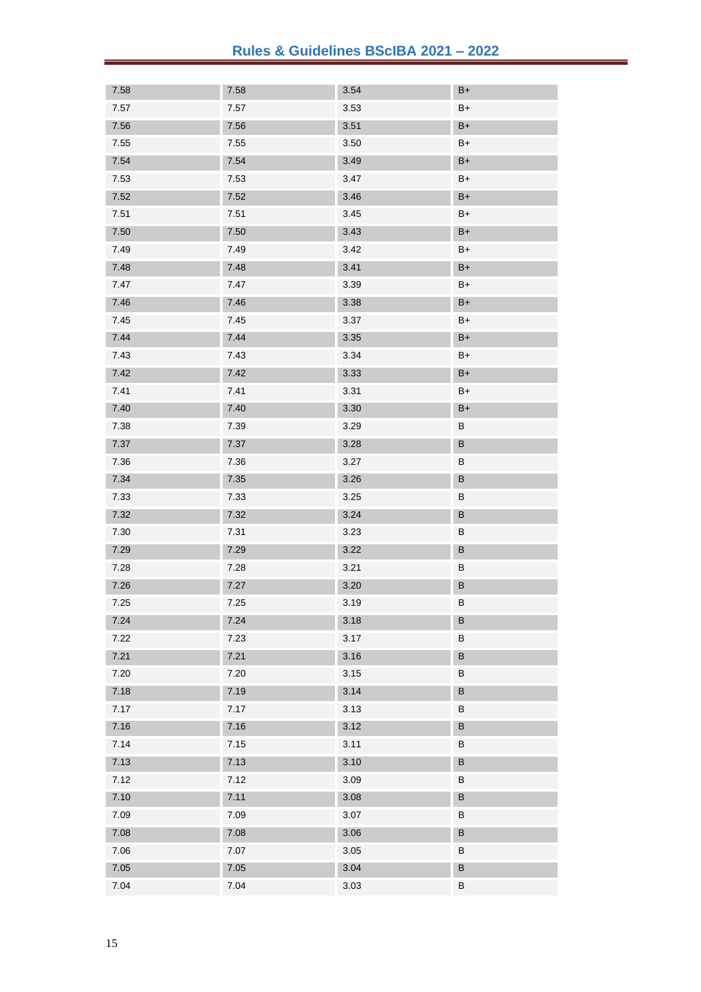| 7.58     | 7.58 | 3.54     | $B+$    |
|----------|------|----------|---------|
| $7.57$   | 7.57 | 3.53     | $B+$    |
| 7.56     | 7.56 | 3.51     | $B+$    |
| 7.55     | 7.55 | 3.50     | B+      |
| 7.54     | 7.54 | 3.49     | $B+$    |
| 7.53     | 7.53 | 3.47     | $B+$    |
| 7.52     | 7.52 | 3.46     | $B+$    |
| 7.51     | 7.51 | 3.45     | B+      |
| $7.50\,$ | 7.50 | 3.43     | $B+$    |
| 7.49     | 7.49 | 3.42     | $B+$    |
| 7.48     | 7.48 | 3.41     | $B+$    |
| 7.47     | 7.47 | 3.39     | $B+$    |
| 7.46     | 7.46 | $3.38\,$ | $B+$    |
| 7.45     | 7.45 | 3.37     | $B+$    |
| 7.44     | 7.44 | 3.35     | $B+$    |
| 7.43     | 7.43 | 3.34     | $B+$    |
| 7.42     | 7.42 | 3.33     | $B+$    |
| 7.41     | 7.41 | 3.31     | $B+$    |
| 7.40     | 7.40 | $3.30\,$ | $B+$    |
| 7.38     | 7.39 | 3.29     | B       |
| 7.37     | 7.37 | 3.28     | $\sf B$ |
| 7.36     | 7.36 | 3.27     | B       |
| 7.34     | 7.35 | 3.26     | $\sf B$ |
| 7.33     | 7.33 | 3.25     | B       |
| 7.32     | 7.32 | 3.24     | $\sf B$ |
| 7.30     | 7.31 | 3.23     | B       |
| 7.29     | 7.29 | 3.22     | $\sf B$ |
| 7.28     | 7.28 | 3.21     | B       |
| 7.26     | 7.27 | $3.20\,$ | B       |
| 7.25     | 7.25 | 3.19     | B       |
| 7.24     | 7.24 | 3.18     | B       |
| 7.22     | 7.23 | 3.17     | $\sf B$ |
| 7.21     | 7.21 | 3.16     | $\sf B$ |
| 7.20     | 7.20 | 3.15     | $\sf B$ |
| 7.18     | 7.19 | 3.14     | $\sf B$ |
| 7.17     | 7.17 | 3.13     | B       |
| 7.16     | 7.16 | 3.12     | $\sf B$ |
| 7.14     | 7.15 | 3.11     | B       |
| 7.13     | 7.13 | 3.10     | $\sf B$ |
| 7.12     | 7.12 | 3.09     | B       |
| 7.10     | 7.11 | 3.08     | $\sf B$ |
| 7.09     | 7.09 | 3.07     | B       |
| 7.08     | 7.08 | 3.06     | $\sf B$ |
| 7.06     | 7.07 | $3.05$   | $\sf B$ |
| 7.05     | 7.05 | 3.04     | $\sf B$ |
| 7.04     | 7.04 | $3.03$   | $\sf B$ |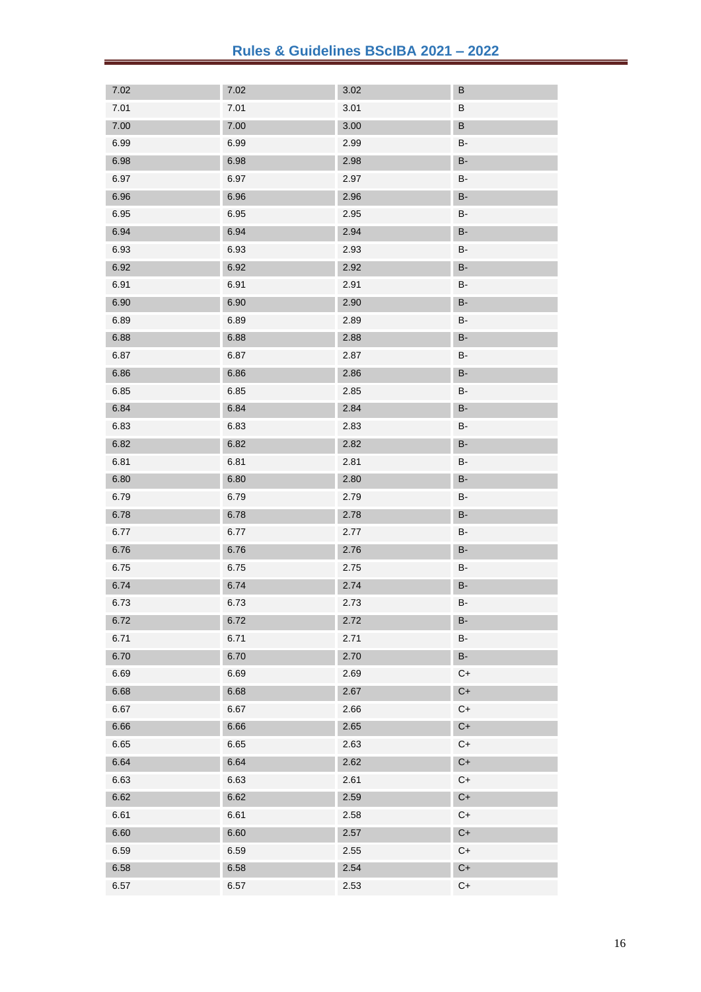| 7.02 | 7.02 | 3.02 | B                   |
|------|------|------|---------------------|
| 7.01 | 7.01 | 3.01 | B                   |
| 7.00 | 7.00 | 3.00 | $\sf B$             |
| 6.99 | 6.99 | 2.99 | B-                  |
| 6.98 | 6.98 | 2.98 | <b>B-</b>           |
| 6.97 | 6.97 | 2.97 | B-                  |
| 6.96 | 6.96 | 2.96 | <b>B-</b>           |
| 6.95 | 6.95 | 2.95 | <b>B-</b>           |
| 6.94 | 6.94 | 2.94 | <b>B-</b>           |
| 6.93 | 6.93 | 2.93 | B-                  |
| 6.92 | 6.92 | 2.92 | <b>B-</b>           |
| 6.91 | 6.91 | 2.91 | <b>B-</b>           |
| 6.90 | 6.90 | 2.90 | <b>B-</b>           |
| 6.89 | 6.89 | 2.89 | B-                  |
| 6.88 | 6.88 | 2.88 | <b>B-</b>           |
| 6.87 | 6.87 | 2.87 | <b>B-</b>           |
| 6.86 | 6.86 | 2.86 | <b>B-</b>           |
| 6.85 | 6.85 | 2.85 | B-                  |
| 6.84 | 6.84 | 2.84 | <b>B-</b>           |
| 6.83 | 6.83 | 2.83 | B-                  |
| 6.82 | 6.82 | 2.82 | <b>B-</b>           |
| 6.81 | 6.81 | 2.81 | B-                  |
| 6.80 | 6.80 | 2.80 | <b>B-</b>           |
| 6.79 | 6.79 | 2.79 | B-                  |
| 6.78 | 6.78 | 2.78 | <b>B-</b>           |
| 6.77 | 6.77 | 2.77 | B-                  |
| 6.76 | 6.76 | 2.76 | <b>B-</b>           |
| 6.75 | 6.75 | 2.75 | B-                  |
| 6.74 | 6.74 | 2.74 | $\mathsf B\text{-}$ |
| 6.73 | 6.73 | 2.73 | B-                  |
| 6.72 | 6.72 | 2.72 | <b>B-</b>           |
| 6.71 | 6.71 | 2.71 | <b>B-</b>           |
| 6.70 | 6.70 | 2.70 | <b>B-</b>           |
| 6.69 | 6.69 | 2.69 | $C+$                |
| 6.68 | 6.68 | 2.67 | $C+$                |
| 6.67 | 6.67 | 2.66 | $C+$                |
| 6.66 | 6.66 | 2.65 | $C+$                |
| 6.65 | 6.65 | 2.63 | $C+$                |
| 6.64 | 6.64 | 2.62 | $C+$                |
| 6.63 | 6.63 | 2.61 | $C+$                |
| 6.62 | 6.62 | 2.59 | $C+$                |
| 6.61 | 6.61 | 2.58 | $C+$                |
| 6.60 | 6.60 | 2.57 | $C+$                |
| 6.59 | 6.59 | 2.55 | $C+$                |
| 6.58 | 6.58 | 2.54 | $C+$                |
| 6.57 | 6.57 | 2.53 | $C+$                |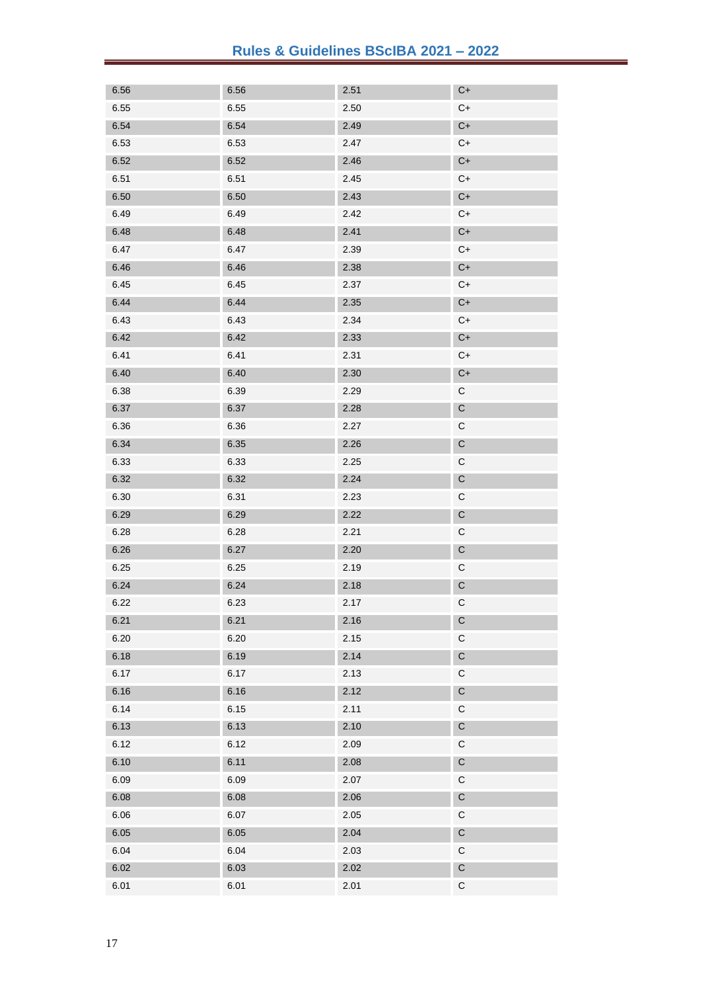| 6.56 | 6.56 | 2.51 | $C+$        |
|------|------|------|-------------|
| 6.55 | 6.55 | 2.50 | $C+$        |
| 6.54 | 6.54 | 2.49 | $C+$        |
| 6.53 | 6.53 | 2.47 | $C+$        |
| 6.52 | 6.52 | 2.46 | $C+$        |
| 6.51 | 6.51 | 2.45 | $C+$        |
| 6.50 | 6.50 | 2.43 | $C+$        |
| 6.49 | 6.49 | 2.42 | $C+$        |
| 6.48 | 6.48 | 2.41 | $C+$        |
| 6.47 | 6.47 | 2.39 | $C+$        |
| 6.46 | 6.46 | 2.38 | $C+$        |
| 6.45 | 6.45 | 2.37 | $C+$        |
| 6.44 | 6.44 | 2.35 | $C+$        |
| 6.43 | 6.43 | 2.34 | $C+$        |
| 6.42 | 6.42 | 2.33 | $C+$        |
| 6.41 | 6.41 | 2.31 | $C+$        |
| 6.40 | 6.40 | 2.30 | $C+$        |
| 6.38 | 6.39 | 2.29 | $\mathsf C$ |
| 6.37 | 6.37 | 2.28 | $\mathsf C$ |
| 6.36 | 6.36 | 2.27 | $\mathsf C$ |
| 6.34 | 6.35 | 2.26 | $\mathsf C$ |
| 6.33 | 6.33 | 2.25 | $\mathsf C$ |
| 6.32 | 6.32 | 2.24 | $\mathsf C$ |
| 6.30 | 6.31 | 2.23 | $\mathsf C$ |
| 6.29 | 6.29 | 2.22 | $\mathsf C$ |
| 6.28 | 6.28 | 2.21 | $\mathsf C$ |
| 6.26 | 6.27 | 2.20 | $\mathsf C$ |
| 6.25 | 6.25 | 2.19 | $\mathsf C$ |
| 6.24 | 6.24 | 2.18 | $\mathsf C$ |
| 6.22 | 6.23 | 2.17 | $\mathsf C$ |
| 6.21 | 6.21 | 2.16 | $\mathsf C$ |
| 6.20 | 6.20 | 2.15 | $\mathsf C$ |
| 6.18 | 6.19 | 2.14 | $\mathsf C$ |
| 6.17 | 6.17 | 2.13 | $\mathsf C$ |
| 6.16 | 6.16 | 2.12 | $\mathsf C$ |
| 6.14 | 6.15 | 2.11 | $\mathsf C$ |
| 6.13 | 6.13 | 2.10 | $\mathsf C$ |
| 6.12 | 6.12 | 2.09 | $\mathsf C$ |
| 6.10 | 6.11 | 2.08 | $\mathsf C$ |
| 6.09 | 6.09 | 2.07 | $\mathsf C$ |
| 6.08 | 6.08 | 2.06 | $\mathsf C$ |
| 6.06 | 6.07 | 2.05 | $\mathsf C$ |
| 6.05 | 6.05 | 2.04 | $\mathsf C$ |
| 6.04 | 6.04 | 2.03 | $\mathsf C$ |
| 6.02 | 6.03 | 2.02 | $\mathsf C$ |
| 6.01 | 6.01 | 2.01 | $\mathsf C$ |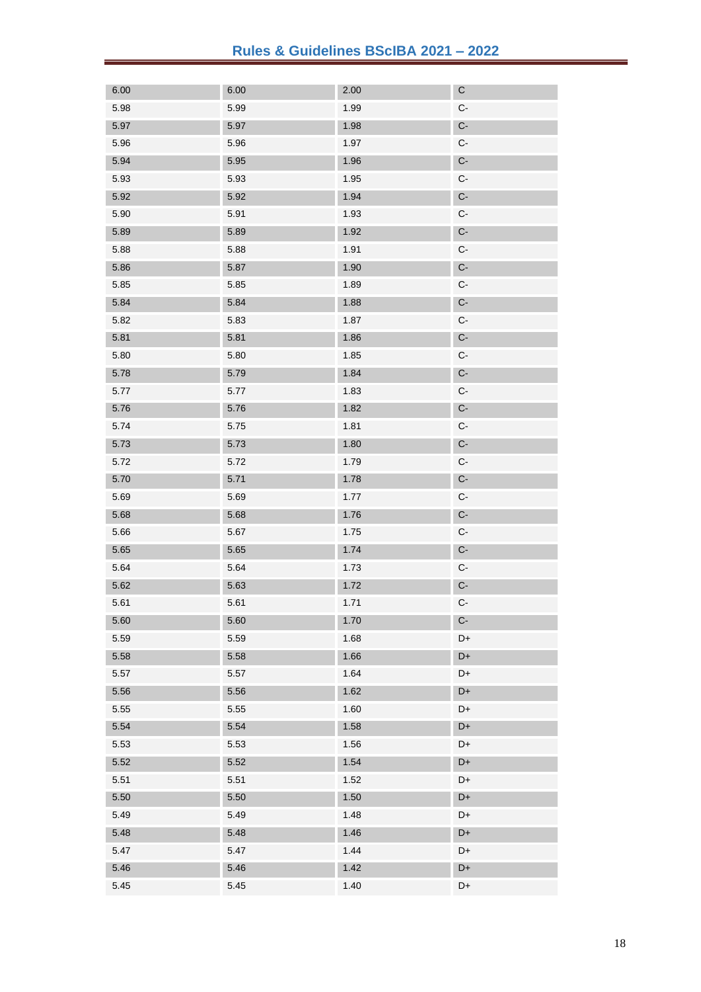| 6.00 | 6.00 | 2.00 | C                    |
|------|------|------|----------------------|
| 5.98 | 5.99 | 1.99 | $C-$                 |
| 5.97 | 5.97 | 1.98 | $\mathsf{C}\text{-}$ |
| 5.96 | 5.96 | 1.97 | C-                   |
| 5.94 | 5.95 | 1.96 | $C-$                 |
| 5.93 | 5.93 | 1.95 | $C-$                 |
| 5.92 | 5.92 | 1.94 | $C-$                 |
| 5.90 | 5.91 | 1.93 | C-                   |
| 5.89 | 5.89 | 1.92 | $C-$                 |
| 5.88 | 5.88 | 1.91 | $C-$                 |
| 5.86 | 5.87 | 1.90 | $C-$                 |
| 5.85 | 5.85 | 1.89 | C-                   |
| 5.84 | 5.84 | 1.88 | $C-$                 |
| 5.82 | 5.83 | 1.87 | $C-$                 |
| 5.81 | 5.81 | 1.86 | $\mathsf{C}\text{-}$ |
| 5.80 | 5.80 | 1.85 | $C-$                 |
| 5.78 | 5.79 | 1.84 | $C-$                 |
| 5.77 | 5.77 | 1.83 | $C-$                 |
| 5.76 | 5.76 | 1.82 | $\mathsf{C}\text{-}$ |
| 5.74 | 5.75 | 1.81 | $C-$                 |
| 5.73 | 5.73 | 1.80 | $C-$                 |
| 5.72 | 5.72 | 1.79 | $C-$                 |
| 5.70 | 5.71 | 1.78 | $\mathsf{C}\text{-}$ |
| 5.69 | 5.69 | 1.77 | $C-$                 |
| 5.68 | 5.68 | 1.76 | $C-$                 |
| 5.66 | 5.67 | 1.75 | $C-$                 |
| 5.65 | 5.65 | 1.74 | $\mathbb{C}\text{-}$ |
| 5.64 | 5.64 | 1.73 | $C-$                 |
| 5.62 | 5.63 | 1.72 | $C-$                 |
| 5.61 | 5.61 | 1.71 | $C-$                 |
| 5.60 | 5.60 | 1.70 | $C-$                 |
| 5.59 | 5.59 | 1.68 | D+                   |
| 5.58 | 5.58 | 1.66 | D+                   |
| 5.57 | 5.57 | 1.64 | D+                   |
| 5.56 | 5.56 | 1.62 | D+                   |
| 5.55 | 5.55 | 1.60 | D+                   |
| 5.54 | 5.54 | 1.58 | D+                   |
| 5.53 | 5.53 | 1.56 | D+                   |
| 5.52 | 5.52 | 1.54 | D+                   |
| 5.51 | 5.51 | 1.52 | D+                   |
| 5.50 | 5.50 | 1.50 | D+                   |
| 5.49 | 5.49 | 1.48 | D+                   |
| 5.48 | 5.48 | 1.46 | D+                   |
| 5.47 | 5.47 | 1.44 | D+                   |
| 5.46 | 5.46 | 1.42 | D+                   |
| 5.45 | 5.45 | 1.40 | D+                   |